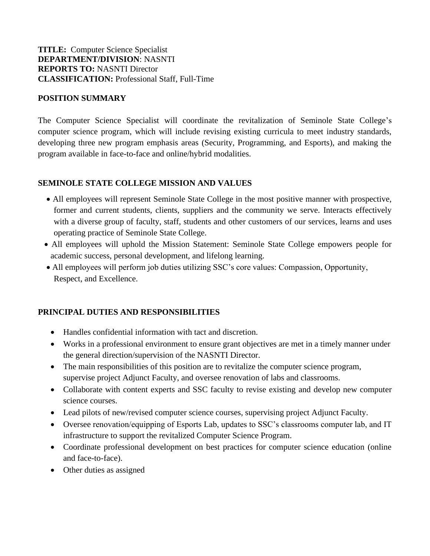#### **TITLE:** Computer Science Specialist **DEPARTMENT/DIVISION**: NASNTI **REPORTS TO:** NASNTI Director **CLASSIFICATION:** Professional Staff, Full-Time

#### **POSITION SUMMARY**

The Computer Science Specialist will coordinate the revitalization of Seminole State College's computer science program, which will include revising existing curricula to meet industry standards, developing three new program emphasis areas (Security, Programming, and Esports), and making the program available in face-to-face and online/hybrid modalities.

# **SEMINOLE STATE COLLEGE MISSION AND VALUES**

- All employees will represent Seminole State College in the most positive manner with prospective, former and current students, clients, suppliers and the community we serve. Interacts effectively with a diverse group of faculty, staff, students and other customers of our services, learns and uses operating practice of Seminole State College.
- All employees will uphold the Mission Statement: Seminole State College empowers people for academic success, personal development, and lifelong learning.
- All employees will perform job duties utilizing SSC's core values: Compassion, Opportunity, Respect, and Excellence.

# **PRINCIPAL DUTIES AND RESPONSIBILITIES**

- Handles confidential information with tact and discretion.
- Works in a professional environment to ensure grant objectives are met in a timely manner under the general direction/supervision of the NASNTI Director.
- The main responsibilities of this position are to revitalize the computer science program, supervise project Adjunct Faculty, and oversee renovation of labs and classrooms.
- Collaborate with content experts and SSC faculty to revise existing and develop new computer science courses.
- Lead pilots of new/revised computer science courses, supervising project Adjunct Faculty.
- Oversee renovation/equipping of Esports Lab, updates to SSC's classrooms computer lab, and IT infrastructure to support the revitalized Computer Science Program.
- Coordinate professional development on best practices for computer science education (online and face-to-face).
- Other duties as assigned